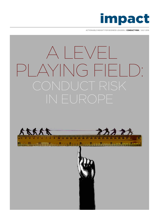

**ACTIONABLE INSIGHT FOR BUSINESS LEADERS / CONDUCT RISK / JULY 2016**

# A LEVEL PLAYING FIELD: CONDUCT RISK IN EUROPE



Filippinin Filippinin bahasa kabupaten kapatan dan kabupaten pada tanggal dan bahasa kabupaten kabupaten kabupaten

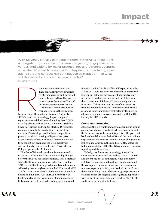02 **ACTIONABLE INSIGHT FOR BUSINESS LEADERS / CONDUCT RISK / JULY 2016**

impact



With Solvency II finally complete in terms of the rules, regulations and legislation, insurance firms were just getting to grips with the various implications for major product lines and different countries when the UK voted to leave the EU. Despite this uncertainty, a new agenda around conduct risk continues to gain traction – so what will this mean for Europe's insurance sector?

By David Worsfold

egulators are restless entities. They constantly review strategies, create new agendas and throw out new challenges to those they govern; those shaping the future of Europe's insurance sector are no exception. "Whether it is industry-focused regulators such as the European

Insurance and Occupational Pensions Authority (EIOPA) and the increasingly important global regulators around the Financial Stability Board (FSB), or co-legislators such as the EU's Financial Stability, Financial Services and Capital Markets Directorate, regulators want to be seen to be in control of the markets. This is a legacy of the failure to predict or prevent the global banking collapse of 2007-08. Regulators now share a collective determination not to be caught out again and the UK's Brexit vote will most likely reinforce that resolve," says Michael Culligan, principal at Milliman. Insurance and Occu

This fear of failure drives them from one agenda to the next, often embarking on the next big change before the last one has been completed. This is precisely where the European insurance sector finds itself in 2016, even without the huge additional complication of addressing how – maybe even if – the UK leaves the EU.

"After more than a decade of preparation, meticulous debate and not a few false starts, Solvency II was finally enacted at the beginning of January, ready to be transformed into a broader rolling agenda around

financial stability," explains Oliver Gillespie, principal at Milliman. "There are, however, a handful of unresolved key issues, including the treatment of infrastructure investments and securitisation, and the debates on the 2018 review of Solvency II were already starting in earnest. This review may be one of the casualties from the referendum as the Commission and EIOPA are going to be significantly distracted by the need to address a wide range of issues associated with the UK leaving the EU," he adds.

#### **Consumer protection**

Alongside this is a whole new agenda opening up around conduct regulation. This shouldn't come as a surprise to the insurance sector because it is precisely the path that banking has followed with the FSB and the International Organisation of Securities Commissions pushing conduct risk as a key issue from the middle of 2014, before the full implementation of the Basel 3 regulations, associated reporting and stress testing.

Globally, regulators are increasingly focused on consumer protection and mis-selling issues. "The UK and the US are ahead of the game when it comes to risk-based reporting and building regulation around the concept of consumer detriment, but many other markets, especially in Asia, are also looking to address these issues. They want to be seen as good places to do business and so are aligning their regulatory approaches with those of the more developed markets," highlights Neil Cantle, principal at Milliman.

8888

MILLIMAN / IMPACT / JULY 2016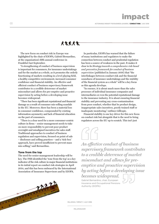03 **ACTIONABLE INSIGHT FOR BUSINESS LEADERS / CONDUCT RISK / JULY 2016**

## # 2222

The new focus on conduct risk in Europe was highlighted by the chair of EIOPA, Gabriel Bernardino, at the organisation's fifth annual conference in Frankfurt last September.

"A strengthening of conduct of business supervision is important for consumers, for insurance undertakings and for the market as a whole, as it promotes the orderly functioning of markets resulting in a level playing field, a healthy competitive environment, increased consumer confidence and financial stability. An effective and efficient conduct of business supervisory framework contributes to a credible deterrence of market misconduct and allows for pre-emptive and proactive supervision by acting before a developing issue becomes widespread.

"There has been significant reputational and financial damage as a result of consumer mis-selling scandals in the EU. Moreover, there has been a material loss in consumer confidence, compounded by existing information asymmetry and lack of financial education on the part of consumers.

"There is a clear need for a more consumer-centric culture in firms – senior management needs to take on more responsibility to prevent poor product oversight and misaligned incentives for sales staff. Traditional approaches to conduct of business regulation and supervision, focused on point of sale – disclosure and selling practices – and a 'tick-box' approach, have proved insufficient to prevent mass mis-selling," said Bernardino.

#### **Tone from the top**

A BARTIN AND THE TABLE TO A SALE

The need for senior management leadership will be key. The FSB identified the 'tone from the top' as a key indicator of the risk culture in major financial institutions in its initial report on conduct risk strategies in April 2014, and this has been embraced by the International Association of Insurance Supervisors and by EIOPA.

 $222$ 

In particular, EIOPA has warned that the failure of many institutions and regulators to make the connection between conduct and prudential regulation has been a source of weakness in the past. It makes it clear in its *Strategy towards a comprehensive risk-based and preventive framework for conduct of business supervision* (published in January 2016) that "the interlinkages between conduct risk and the financial soundness of insurance undertakings and the stability of the financial system as a whole" will be a key focus as this agenda develops.

"In essence, it is about much more than the sales processes of individual insurance companies and intermediaries or even the potential reputational damage to the insurance industry. It is about ensuring financial stability and preventing any cross-contamination from poor conduct, whether that be product design, inappropriate sales incentives, poorly trained staff or inadequate monitoring," outlines Gillespie.

Financial stability is one key driver for this new focus on conduct risk but alongside that is the need to bring regulators across the EU up to scratch. This isn't just



*An effective conduct of business supervisory framework contributes to a credible deterrence of market misconduct and allows for preemptive and proactive supervision by acting before a developing issue becomes widespread.* 

Gabriel Bernardino, chair, European Insurance and Occupational Pensions Authority (EIOPA)



MILLIMAN / IMPACT / JULY 2016

MILLIMAN.COM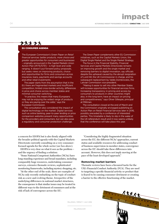## impact

04 **ACTIONABLE INSIGHT FOR BUSINESS LEADERS / CONDUCT RISK / JULY 2016**

### EU CONSUMER AGENDA

The European Commission's Green Paper on *Retail financial services: better products, more choice and greater opportunities for consumers and businesses* – originally announced in the Capital Markets Union Action Plan [IP/15/5731] – is high level and wide ranging. It doesn't put forward policy proposals, but seeks views on improving products, choice and opportunities for firms and consumers across insurance, loans, payments and savings accounts and other retail investments.

The paper starts from the assumption that in the EU there are fragmented markets and insufficient competition, limited cross-border activity, differences in price and choice across member states and minimal consumer switching.

"In practice, this means that many Europeans may not be enjoying the widest range of products or they are paying over the odds," says the European Commission.

The consultation also considered the impact of digital technology on the market. Digital services such as online banking, peer-to-peer lending or price comparison websites present many opportunities for the providers and consumers, but can also pose a regulatory and consumer protection challenge.

a concern for EIOPA but is also firmly aligned with the broader political agenda with the Capital Markets Directorate currently consulting on a very consumerfocused agenda for the whole sector (see box above).

EIOPA is very clear on what it sees as the problem – and the urgency of finding a solution:

"Some National Competent Authorities (NCAs) have long-standing experience and broad mandates, including comparably huge resources, undertaking consumer surveys, extensive thematic reviews, sophisticated monitoring frameworks, including mystery shopping, etc.

"At the other end of the scale, there are examples of NCAs only recently embarking on the topic of conduct risk as a new and evolving theme. Irrespective of the underlying differences in national market structures, the consequence is that similar issues may be treated in different ways to the detriment of consumers and at the risk of lack of convergence across the EU.

The Green Paper complements other EU Commission initiatives, such as the Capital Markets Union, the Digital Single Market and the Single Market Strategy.

The focus in the Financial Stability, Financial Services and Capital Markets Directorate remains on improving growth and the single market and removing barriers to digital innovation, say officials despite the upheaval caused by the abrupt resignation of Lord Hill, the UK Commissioner in charge, and his subsequent replacement by Valdis Dombrovskis, the Latvian Commission vice-president.

"Making it easier to sell into other Member States will increase opportunities for financial services firms. Increasing transparency in pricing and access by consumers to products in other countries might also, in the long term, have an impact on pricing and competitiveness," says Oliver Gillespie, principal at Milliman.

The consultation closed at the end of March and the Commission originally envisaged publishing an Action Plan on Retail Financial Services later in 2016, possibly preceded by a conference of interested parties. This timetable is likely to slip in the wake of the UK referendum result and it now seems unlikely that the conference will take place this year.

"Considering the highly fragmented situation across the EU, the different NCAs' approaches, current status and available resources for addressing conduct of business supervision in member states, convergence across the EU should take these differences into account. However, this does not imply moving at the pace of the least developed approach."

#### **Removing market barriers**

Thematic reviews have been a favoured tactic for the UK's Financial Conduct Authority (FCA). They are used to targeting a specific financial activity or product that is feared to be causing consumer detriment or creating a barrier to the effective functioning of the market.

MILLIMAN / IMPACT / JULY 2016

MILLIMAN.COM

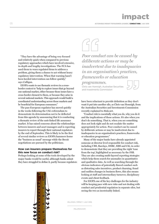impact

05 **ACTIONABLE INSIGHT FOR BUSINESS LEADERS / CONDUCT RISK / JULY 2016**

"They have the advantage of being very focused and relatively quick when compared to previous regulatory approaches which have involved extensive, in-depth and lengthy investigations. The FCA has used them to warn regulated firms to address a problem, giving them a chance to act without heavy regulatory intervention. When that warning hasn't been heeded intervention can follow quickly," says Culligan.

EIOPA wants to use thematic reviews in a crossborder context to "help to explore issues that go beyond one national market, either because those issues have a cross-border element to them, or because they arise in several national markets. This approach would build a coordinated understanding across those markets and be beneficial for European consumers."

The pan-European regulator has moved quickly in the weeks following the UK's referendum to demonstrate its determination not to be deflected from this agenda by announcing that it is conducting a thematic review of the unit-linked life assurance market. It has raised concerns about the relationships between insurers and asset managers and is expecting insurers to report through their national regulators by the end of September. This is likely to be the first of several similar reviews as EIOPA hammers home the "business as usual" message while the Brexit negotiations are pursued by the politicians.

#### **How can insurers prepare themselves for this new focus on conduct risk?**

Perhaps looking at some of the tools developed by the major banks would be useful, although banks admit they have struggled to define it, partly because regulators





*Poor conduct can be caused by deliberate actions or may be inadvertent due to inadequacies in an organisation's practices, frameworks or education* 

*programmes.* 

Chris van Homrigh, Australian Securities and Investments Commission



have been reluctant to provide definition as they don't want it put into another silo, as Chris van Homrigh, from the Australian Securities and Investments Commission recently explained to Risk.net.

"Conduct risk is essentially what you do, why you do it and the implications of those actions. It's also when you don't do something. That is, when you see something does not look right and do not escalate the matter appropriately for action. Poor conduct can be caused by deliberate actions or may be inadvertent due to inadequacies in an organisation's practices, frameworks or education programmes."

Many of the major banks have already appointed someone at director level responsible for conduct risk, including UBS, Barclays, HSBC, RBS and Citi, in order to demonstrate that they are providing the right 'tone from the top', highlighted as necessary by the FSB. They are also creating multi-layered reporting strategies which help them search for anomalies in quantitative and qualitative data. As well as searching through the obvious indicators of potentially flawed conduct such as distorting sales incentives, product churning, fraud and sudden changes in business flows, this also means looking at staff and intermediary turnover, disciplinary events and client feedback.

For EIOPA one of the key challenges for the industry will be keeping pace with new risks and not dealing with conduct and prudential regulation in separate silos, but seeing the two as inextricably linked.

MILLIMAN / IMPACT / JULY 2016

MILLIMAN.COM